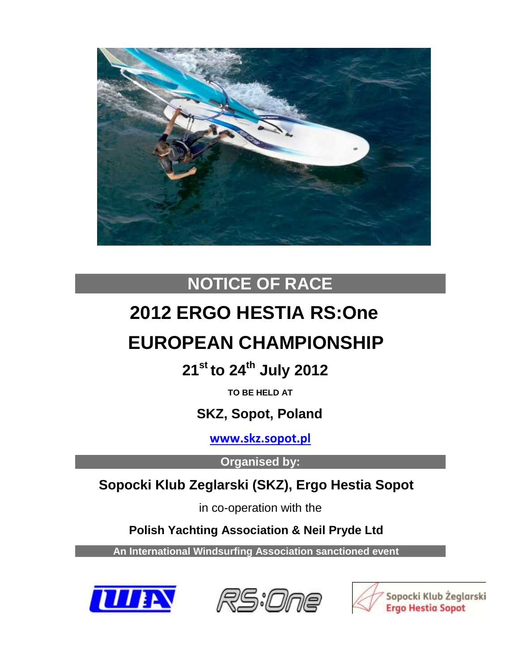

# **NOTICE OF RACE**

# **2012 ERGO HESTIA RS:One**

# **EUROPEAN CHAMPIONSHIP**

 **21 st to 24 th July 2012**

**TO BE HELD AT**

 **SKZ, Sopot, Poland**

**[www.skz.sopot.pl](http://www.skz.sopot.pl/)**

**Organised by:**

# **Sopocki Klub Zeglarski (SKZ), Ergo Hestia Sopot**

in co-operation with the

 **Polish Yachting Association & Neil Pryde Ltd**

 **An International Windsurfing Association sanctioned event**





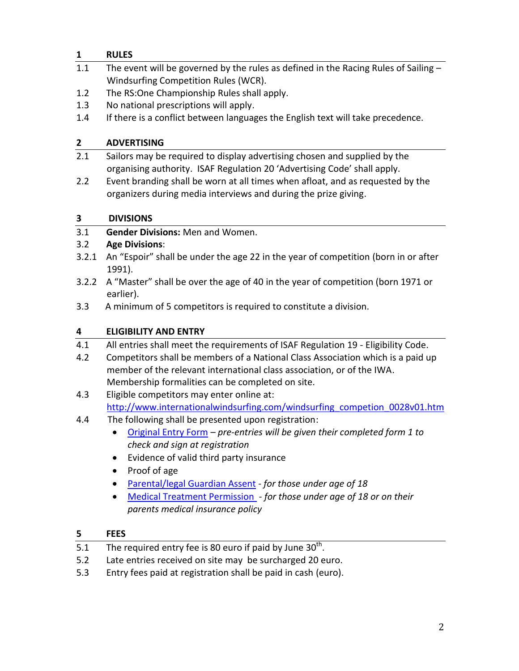# **1 RULES**

- 1.1 The event will be governed by the rules as defined in the Racing Rules of Sailing -Windsurfing Competition Rules (WCR).
- 1.2 The RS:One Championship Rules shall apply.
- 1.3 No national prescriptions will apply.
- 1.4 If there is a conflict between languages the English text will take precedence.

# **2 ADVERTISING**

- 2.1 Sailors may be required to display advertising chosen and supplied by the organising authority. ISAF Regulation 20 'Advertising Code' shall apply.
- 2.2 Event branding shall be worn at all times when afloat, and as requested by the organizers during media interviews and during the prize giving.

# **3 DIVISIONS**

3.1 **Gender Divisions:** Men and Women.

# 3.2 **Age Divisions**:

- 3.2.1 An "Espoir" shall be under the age 22 in the year of competition (born in or after 1991).
- 3.2.2 A "Master" shall be over the age of 40 in the year of competition (born 1971 or earlier).
- 3.3 A minimum of 5 competitors is required to constitute a division.

# **4 ELIGIBILITY AND ENTRY**

- 4.1 All entries shall meet the requirements of ISAF Regulation 19 Eligibility Code.
- 4.2 Competitors shall be members of a National Class Association which is a paid up member of the relevant international class association, or of the IWA. Membership formalities can be completed on site.
- 4.3 Eligible competitors may enter online at: [http://www.internationalwindsurfing.com/windsurfing\\_competion\\_0028v01.htm](http://www.internationalwindsurfing.com/windsurfing_competion_0028v01.htm)
- 4.4 The following shall be presented upon registration:
	- [Original Entry Form](http://www.internationalwindsurfing.com/userfiles/documents/RS1_Europeans_Sopot_2012_Form_1.pdf) *pre-entries will be given their completed form 1 to check and sign at registration*
	- Evidence of valid third party insurance
	- Proof of age
	- [Parental/legal Guardian Assent](http://www.internationalwindsurfing.com/userfiles/documents/RS1_Europeans_Sopot_2012_Form_2.pdf) *for those under age of 18*
	- [Medical Treatment Permission](http://www.internationalwindsurfing.com/userfiles/documents/RS1_Europeans_Sopot_2012_Form_3.pdf) *- for those under age of 18 or on their parents medical insurance policy*

# **5 FEES**

- 5.1 The required entry fee is 80 euro if paid by June  $30<sup>th</sup>$ .
- 5.2 Late entries received on site may be surcharged 20 euro.
- 5.3 Entry fees paid at registration shall be paid in cash (euro).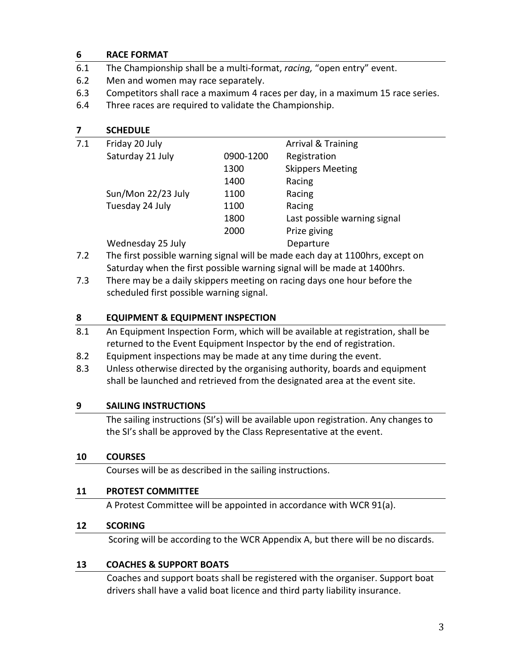### **6 RACE FORMAT**

- 6.1 The Championship shall be a multi-format, *racing,* "open entry" event.
- 6.2 Men and women may race separately.
- 6.3 Competitors shall race a maximum 4 races per day, in a maximum 15 race series.
- 6.4 Three races are required to validate the Championship.

# **7 SCHEDULE**

| 7.1 | Friday 20 July     |           | Arrival & Training           |
|-----|--------------------|-----------|------------------------------|
|     | Saturday 21 July   | 0900-1200 | Registration                 |
|     |                    | 1300      | <b>Skippers Meeting</b>      |
|     |                    | 1400      | Racing                       |
|     | Sun/Mon 22/23 July | 1100      | Racing                       |
|     | Tuesday 24 July    | 1100      | Racing                       |
|     |                    | 1800      | Last possible warning signal |
|     |                    | 2000      | Prize giving                 |
|     | Wednesday 25 July  |           | Departure                    |

- 7.2 The first possible warning signal will be made each day at 1100hrs, except on Saturday when the first possible warning signal will be made at 1400hrs.
- 7.3 There may be a daily skippers meeting on racing days one hour before the scheduled first possible warning signal.

### **8 EQUIPMENT & EQUIPMENT INSPECTION**

- 8.1 An Equipment Inspection Form, which will be available at registration, shall be returned to the Event Equipment Inspector by the end of registration.
- 8.2 Equipment inspections may be made at any time during the event.
- 8.3 Unless otherwise directed by the organising authority, boards and equipment shall be launched and retrieved from the designated area at the event site.

# **9 SAILING INSTRUCTIONS**

The sailing instructions (SI's) will be available upon registration. Any changes to the SI's shall be approved by the Class Representative at the event.

# **10 COURSES**

Courses will be as described in the sailing instructions.

# **11 PROTEST COMMITTEE**

A Protest Committee will be appointed in accordance with WCR 91(a).

# **12 SCORING**

Scoring will be according to the WCR Appendix A, but there will be no discards.

# **13 COACHES & SUPPORT BOATS**

Coaches and support boats shall be registered with the organiser. Support boat drivers shall have a valid boat licence and third party liability insurance.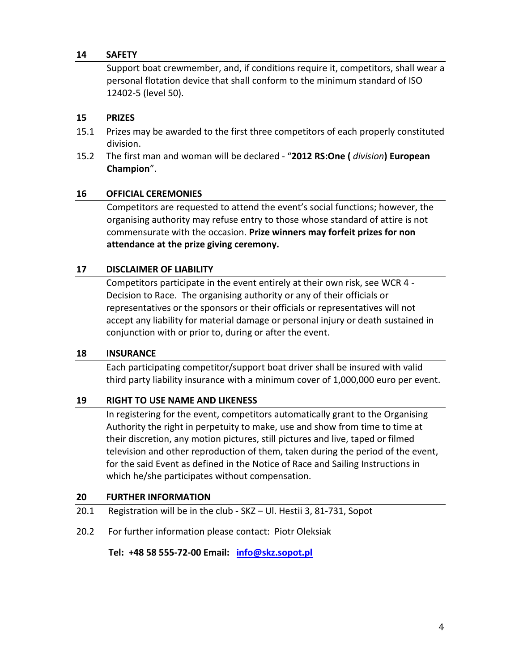#### **14 SAFETY**

Support boat crewmember, and, if conditions require it, competitors, shall wear a personal flotation device that shall conform to the minimum standard of ISO 12402-5 (level 50).

#### **15 PRIZES**

- 15.1 Prizes may be awarded to the first three competitors of each properly constituted division.
- 15.2 The first man and woman will be declared "**2012 RS:One (** *division***) European Champion**".

#### **16 OFFICIAL CEREMONIES**

Competitors are requested to attend the event's social functions; however, the organising authority may refuse entry to those whose standard of attire is not commensurate with the occasion. **Prize winners may forfeit prizes for non attendance at the prize giving ceremony.**

#### **17 DISCLAIMER OF LIABILITY**

Competitors participate in the event entirely at their own risk, see WCR 4 - Decision to Race. The organising authority or any of their officials or representatives or the sponsors or their officials or representatives will not accept any liability for material damage or personal injury or death sustained in conjunction with or prior to, during or after the event.

#### **18 INSURANCE**

Each participating competitor/support boat driver shall be insured with valid third party liability insurance with a minimum cover of 1,000,000 euro per event.

#### **19 RIGHT TO USE NAME AND LIKENESS**

In registering for the event, competitors automatically grant to the Organising Authority the right in perpetuity to make, use and show from time to time at their discretion, any motion pictures, still pictures and live, taped or filmed television and other reproduction of them, taken during the period of the event, for the said Event as defined in the Notice of Race and Sailing Instructions in which he/she participates without compensation.

#### **20 FURTHER INFORMATION**

- 20.1 Registration will be in the club SKZ Ul. Hestii 3, 81-731, Sopot
- 20.2 For further information please contact: Piotr Oleksiak

 **Tel: +48 58 555-72-00 Email: [info@skz.sopot.pl](mailto:info@skz.sopot.pl)**